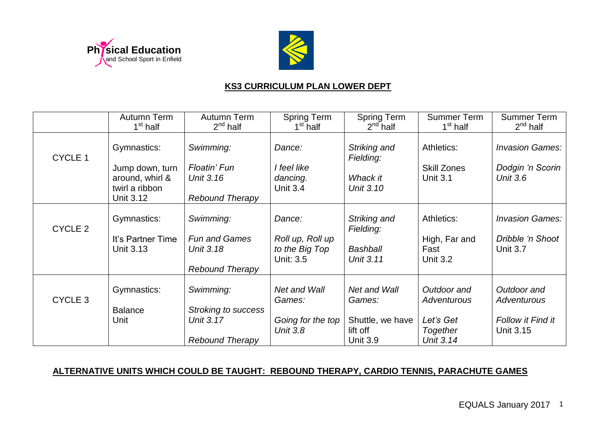



## **KS3 CURRICULUM PLAN LOWER DEPT**

|                    | Autumn Term<br>1 <sup>st</sup> half                  | Autumn Term<br>$2nd$ half         | Spring Term<br>1 <sup>st</sup> half             | <b>Spring Term</b><br>$2nd$ half    | <b>Summer Term</b><br>1 <sup>st</sup> half | <b>Summer Term</b><br>$2^{nd}$ half |
|--------------------|------------------------------------------------------|-----------------------------------|-------------------------------------------------|-------------------------------------|--------------------------------------------|-------------------------------------|
| CYCLE 1            | Gymnastics:                                          | Swimming:                         | Dance:                                          | Striking and<br>Fielding:           | Athletics:                                 | <b>Invasion Games:</b>              |
|                    | Jump down, turn<br>around, whirl &<br>twirl a ribbon | Floatin' Fun<br>Unit 3.16         | I feel like<br>dancing.<br><b>Unit 3.4</b>      | Whack it<br>Unit 3.10               | <b>Skill Zones</b><br><b>Unit 3.1</b>      | Dodgin 'n Scorin<br><b>Unit 3.6</b> |
|                    | <b>Unit 3.12</b>                                     | <b>Rebound Therapy</b>            |                                                 |                                     |                                            |                                     |
| CYCLE <sub>2</sub> | Gymnastics:                                          | Swimming:                         | Dance:                                          | Striking and<br>Fielding:           | Athletics:                                 | <b>Invasion Games:</b>              |
|                    | It's Partner Time<br>Unit 3.13                       | <b>Fun and Games</b><br>Unit 3.18 | Roll up, Roll up<br>to the Big Top<br>Unit: 3.5 | <b>Bashball</b><br><b>Unit 3.11</b> | High, Far and<br>Fast<br><b>Unit 3.2</b>   | Dribble 'n Shoot<br><b>Unit 3.7</b> |
|                    |                                                      | <b>Rebound Therapy</b>            |                                                 |                                     |                                            |                                     |
| CYCLE <sub>3</sub> | Gymnastics:                                          | Swimming:                         | Net and Wall<br>Games:                          | Net and Wall<br>Games:              | Outdoor and<br><b>Adventurous</b>          | Outdoor and<br><b>Adventurous</b>   |
|                    | <b>Balance</b>                                       | <b>Stroking to success</b>        |                                                 |                                     |                                            |                                     |
|                    | Unit                                                 | Unit 3.17                         | Going for the top                               | Shuttle, we have                    | Let's Get                                  | <b>Follow it Find it</b>            |
|                    |                                                      | <b>Rebound Therapy</b>            | <b>Unit 3.8</b>                                 | lift off<br><b>Unit 3.9</b>         | <b>Together</b><br>Unit 3.14               | Unit 3.15                           |

## **ALTERNATIVE UNITS WHICH COULD BE TAUGHT: REBOUND THERAPY, CARDIO TENNIS, PARACHUTE GAMES**

EQUALS January 2017 1